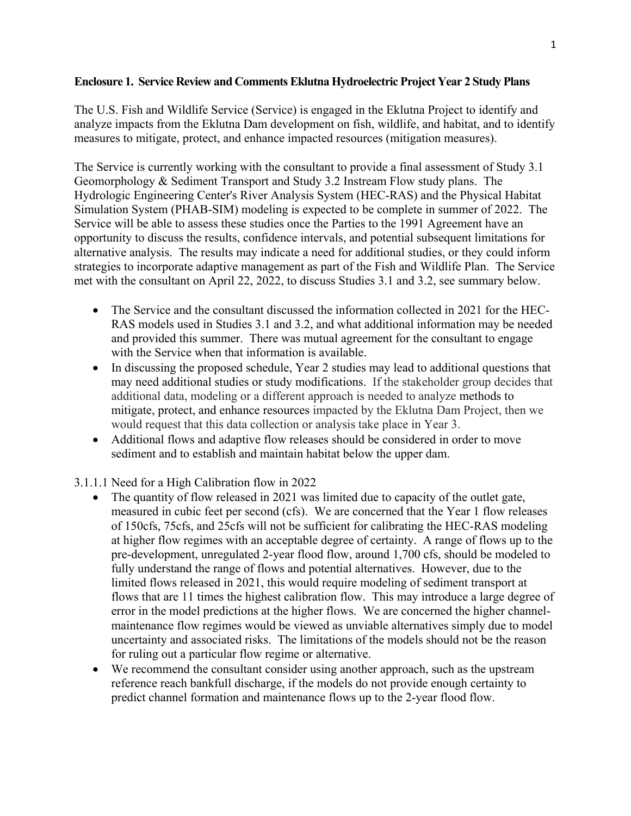## **Enclosure 1. Service Review and Comments Eklutna Hydroelectric Project Year 2 Study Plans**

The U.S. Fish and Wildlife Service (Service) is engaged in the Eklutna Project to identify and analyze impacts from the Eklutna Dam development on fish, wildlife, and habitat, and to identify measures to mitigate, protect, and enhance impacted resources (mitigation measures).

The Service is currently working with the consultant to provide a final assessment of Study 3.1 Geomorphology & Sediment Transport and Study 3.2 Instream Flow study plans. The Hydrologic Engineering Center's River Analysis System (HEC-RAS) and the Physical Habitat Simulation System (PHAB-SIM) modeling is expected to be complete in summer of 2022. The Service will be able to assess these studies once the Parties to the 1991 Agreement have an opportunity to discuss the results, confidence intervals, and potential subsequent limitations for alternative analysis. The results may indicate a need for additional studies, or they could inform strategies to incorporate adaptive management as part of the Fish and Wildlife Plan. The Service met with the consultant on April 22, 2022, to discuss Studies 3.1 and 3.2, see summary below.

- The Service and the consultant discussed the information collected in 2021 for the HEC-RAS models used in Studies 3.1 and 3.2, and what additional information may be needed and provided this summer. There was mutual agreement for the consultant to engage with the Service when that information is available.
- In discussing the proposed schedule, Year 2 studies may lead to additional questions that may need additional studies or study modifications. If the stakeholder group decides that additional data, modeling or a different approach is needed to analyze methods to mitigate, protect, and enhance resources impacted by the Eklutna Dam Project, then we would request that this data collection or analysis take place in Year 3.
- Additional flows and adaptive flow releases should be considered in order to move sediment and to establish and maintain habitat below the upper dam.

3.1.1.1 Need for a High Calibration flow in 2022

- The quantity of flow released in 2021 was limited due to capacity of the outlet gate, measured in cubic feet per second (cfs). We are concerned that the Year 1 flow releases of 150cfs, 75cfs, and 25cfs will not be sufficient for calibrating the HEC-RAS modeling at higher flow regimes with an acceptable degree of certainty. A range of flows up to the pre-development, unregulated 2-year flood flow, around 1,700 cfs, should be modeled to fully understand the range of flows and potential alternatives. However, due to the limited flows released in 2021, this would require modeling of sediment transport at flows that are 11 times the highest calibration flow. This may introduce a large degree of error in the model predictions at the higher flows. We are concerned the higher channelmaintenance flow regimes would be viewed as unviable alternatives simply due to model uncertainty and associated risks. The limitations of the models should not be the reason for ruling out a particular flow regime or alternative.
- We recommend the consultant consider using another approach, such as the upstream reference reach bankfull discharge, if the models do not provide enough certainty to predict channel formation and maintenance flows up to the 2-year flood flow.